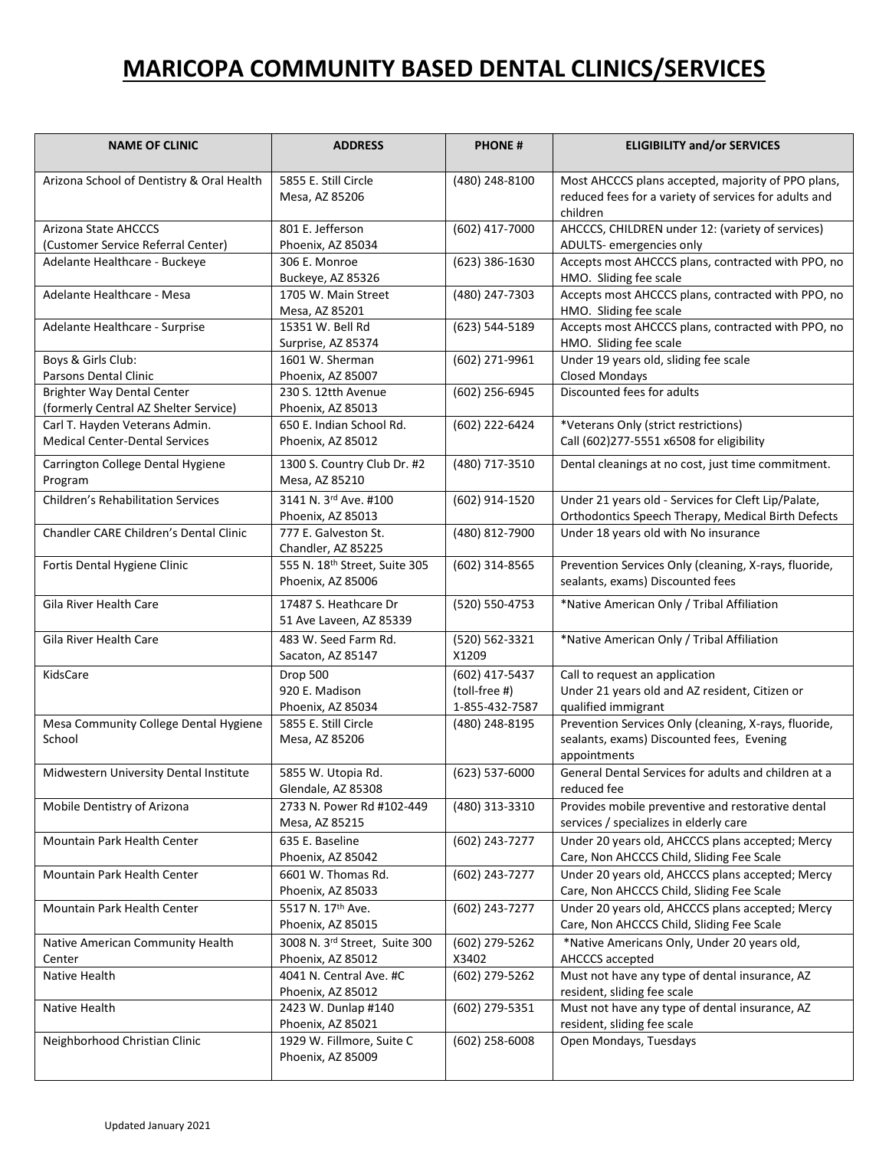## **MARICOPA COMMUNITY BASED DENTAL CLINICS/SERVICES**

| <b>NAME OF CLINIC</b>                                                      | <b>ADDRESS</b>                                                      | <b>PHONE#</b>                                     | <b>ELIGIBILITY and/or SERVICES</b>                                                                                      |
|----------------------------------------------------------------------------|---------------------------------------------------------------------|---------------------------------------------------|-------------------------------------------------------------------------------------------------------------------------|
| Arizona School of Dentistry & Oral Health                                  | 5855 E. Still Circle<br>Mesa, AZ 85206                              | (480) 248-8100                                    | Most AHCCCS plans accepted, majority of PPO plans,<br>reduced fees for a variety of services for adults and<br>children |
| Arizona State AHCCCS                                                       | 801 E. Jefferson                                                    | (602) 417-7000                                    | AHCCCS, CHILDREN under 12: (variety of services)                                                                        |
| (Customer Service Referral Center)                                         | Phoenix, AZ 85034<br>306 E. Monroe                                  |                                                   | ADULTS- emergencies only                                                                                                |
| Adelante Healthcare - Buckeye                                              | Buckeye, AZ 85326                                                   | (623) 386-1630                                    | Accepts most AHCCCS plans, contracted with PPO, no<br>HMO. Sliding fee scale                                            |
| Adelante Healthcare - Mesa                                                 | 1705 W. Main Street<br>Mesa, AZ 85201                               | (480) 247-7303                                    | Accepts most AHCCCS plans, contracted with PPO, no<br>HMO. Sliding fee scale                                            |
| Adelante Healthcare - Surprise                                             | 15351 W. Bell Rd<br>Surprise, AZ 85374                              | (623) 544-5189                                    | Accepts most AHCCCS plans, contracted with PPO, no<br>HMO. Sliding fee scale                                            |
| Boys & Girls Club:                                                         | 1601 W. Sherman                                                     | (602) 271-9961                                    | Under 19 years old, sliding fee scale                                                                                   |
| Parsons Dental Clinic                                                      | Phoenix, AZ 85007                                                   |                                                   | <b>Closed Mondays</b>                                                                                                   |
| <b>Brighter Way Dental Center</b><br>(formerly Central AZ Shelter Service) | 230 S. 12tth Avenue<br>Phoenix, AZ 85013                            | (602) 256-6945                                    | Discounted fees for adults                                                                                              |
| Carl T. Hayden Veterans Admin.                                             | 650 E. Indian School Rd.                                            | (602) 222-6424                                    | *Veterans Only (strict restrictions)                                                                                    |
| <b>Medical Center-Dental Services</b>                                      | Phoenix, AZ 85012                                                   |                                                   | Call (602)277-5551 x6508 for eligibility                                                                                |
| Carrington College Dental Hygiene<br>Program                               | 1300 S. Country Club Dr. #2<br>Mesa, AZ 85210                       | (480) 717-3510                                    | Dental cleanings at no cost, just time commitment.                                                                      |
| <b>Children's Rehabilitation Services</b>                                  | 3141 N. 3rd Ave. #100<br>Phoenix, AZ 85013                          | (602) 914-1520                                    | Under 21 years old - Services for Cleft Lip/Palate,<br>Orthodontics Speech Therapy, Medical Birth Defects               |
| Chandler CARE Children's Dental Clinic                                     | 777 E. Galveston St.<br>Chandler, AZ 85225                          | (480) 812-7900                                    | Under 18 years old with No insurance                                                                                    |
| Fortis Dental Hygiene Clinic                                               | 555 N. 18th Street, Suite 305<br>Phoenix, AZ 85006                  | (602) 314-8565                                    | Prevention Services Only (cleaning, X-rays, fluoride,<br>sealants, exams) Discounted fees                               |
| Gila River Health Care                                                     | 17487 S. Heathcare Dr<br>51 Ave Laveen, AZ 85339                    | (520) 550-4753                                    | *Native American Only / Tribal Affiliation                                                                              |
| Gila River Health Care                                                     | 483 W. Seed Farm Rd.<br>Sacaton, AZ 85147                           | (520) 562-3321<br>X1209                           | *Native American Only / Tribal Affiliation                                                                              |
| KidsCare                                                                   | Drop 500<br>920 E. Madison<br>Phoenix, AZ 85034                     | (602) 417-5437<br>(toll-free #)<br>1-855-432-7587 | Call to request an application<br>Under 21 years old and AZ resident, Citizen or<br>qualified immigrant                 |
| Mesa Community College Dental Hygiene                                      | 5855 E. Still Circle                                                | (480) 248-8195                                    | Prevention Services Only (cleaning, X-rays, fluoride,                                                                   |
| School                                                                     | Mesa, AZ 85206                                                      |                                                   | sealants, exams) Discounted fees, Evening<br>appointments                                                               |
| Midwestern University Dental Institute                                     | 5855 W. Utopia Rd.<br>Glendale, AZ 85308                            | (623) 537-6000                                    | General Dental Services for adults and children at a<br>reduced fee                                                     |
| Mobile Dentistry of Arizona                                                | 2733 N. Power Rd #102-449                                           | (480) 313-3310                                    | Provides mobile preventive and restorative dental                                                                       |
|                                                                            | Mesa, AZ 85215                                                      |                                                   | services / specializes in elderly care                                                                                  |
| Mountain Park Health Center                                                | 635 E. Baseline<br>Phoenix, AZ 85042                                | (602) 243-7277                                    | Under 20 years old, AHCCCS plans accepted; Mercy<br>Care, Non AHCCCS Child, Sliding Fee Scale                           |
| Mountain Park Health Center                                                | 6601 W. Thomas Rd.<br>Phoenix, AZ 85033                             | (602) 243-7277                                    | Under 20 years old, AHCCCS plans accepted; Mercy<br>Care, Non AHCCCS Child, Sliding Fee Scale                           |
| Mountain Park Health Center                                                | 5517 N. 17th Ave.                                                   | (602) 243-7277                                    | Under 20 years old, AHCCCS plans accepted; Mercy                                                                        |
|                                                                            | Phoenix, AZ 85015                                                   |                                                   | Care, Non AHCCCS Child, Sliding Fee Scale                                                                               |
| Native American Community Health<br>Center                                 | 3008 N. 3rd Street, Suite 300<br>Phoenix, AZ 85012                  | (602) 279-5262<br>X3402                           | *Native Americans Only, Under 20 years old,<br>AHCCCS accepted                                                          |
| Native Health                                                              | 4041 N. Central Ave. #C<br>Phoenix, AZ 85012                        | (602) 279-5262                                    | Must not have any type of dental insurance, AZ<br>resident, sliding fee scale                                           |
| Native Health                                                              | 2423 W. Dunlap #140                                                 | (602) 279-5351                                    | Must not have any type of dental insurance, AZ                                                                          |
| Neighborhood Christian Clinic                                              | Phoenix, AZ 85021<br>1929 W. Fillmore, Suite C<br>Phoenix, AZ 85009 | $(602)$ 258-6008                                  | resident, sliding fee scale<br>Open Mondays, Tuesdays                                                                   |